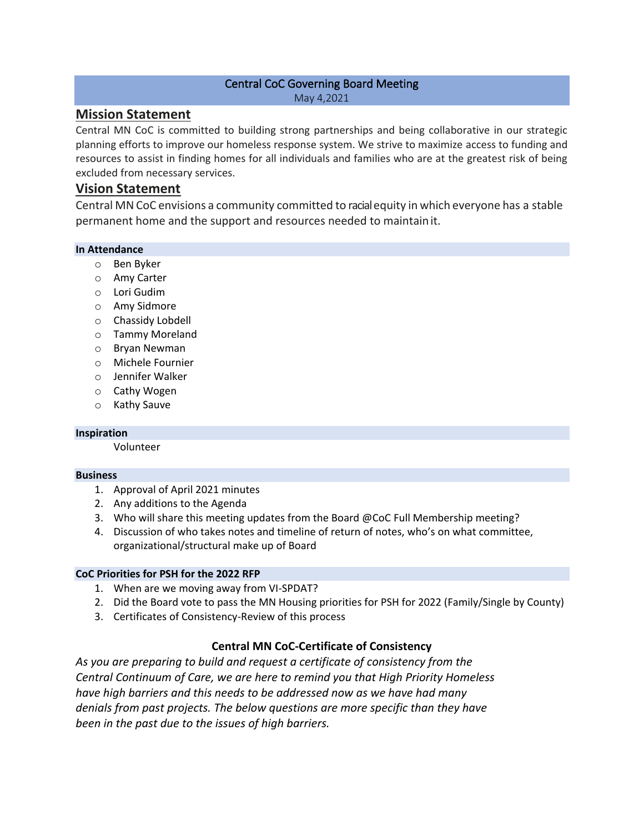## Central CoC Governing Board Meeting May 4,2021

# **Mission Statement**

Central MN CoC is committed to building strong partnerships and being collaborative in our strategic planning efforts to improve our homeless response system. We strive to maximize access to funding and resources to assist in finding homes for all individuals and families who are at the greatest risk of being excluded from necessary services.

# **Vision Statement**

Central MNCoC envisions a community committed to racialequity in which everyone has a stable permanent home and the support and resources needed to maintainit.

## **In Attendance**

- o Ben Byker
- o Amy Carter
- o Lori Gudim
- o Amy Sidmore
- o Chassidy Lobdell
- o Tammy Moreland
- o Bryan Newman
- o Michele Fournier
- o Jennifer Walker
- o Cathy Wogen
- o Kathy Sauve

#### **Inspiration**

Volunteer

#### **Business**

- 1. Approval of April 2021 minutes
- 2. Any additions to the Agenda
- 3. Who will share this meeting updates from the Board @CoC Full Membership meeting?
- 4. Discussion of who takes notes and timeline of return of notes, who's on what committee, organizational/structural make up of Board

#### **CoC Priorities for PSH for the 2022 RFP**

- 1. When are we moving away from VI-SPDAT?
- 2. Did the Board vote to pass the MN Housing priorities for PSH for 2022 (Family/Single by County)
- 3. Certificates of Consistency-Review of this process

## **Central MN CoC-Certificate of Consistency**

*As you are preparing to build and request a certificate of consistency from the Central Continuum of Care, we are here to remind you that High Priority Homeless have high barriers and this needs to be addressed now as we have had many denials from past projects. The below questions are more specific than they have been in the past due to the issues of high barriers.*